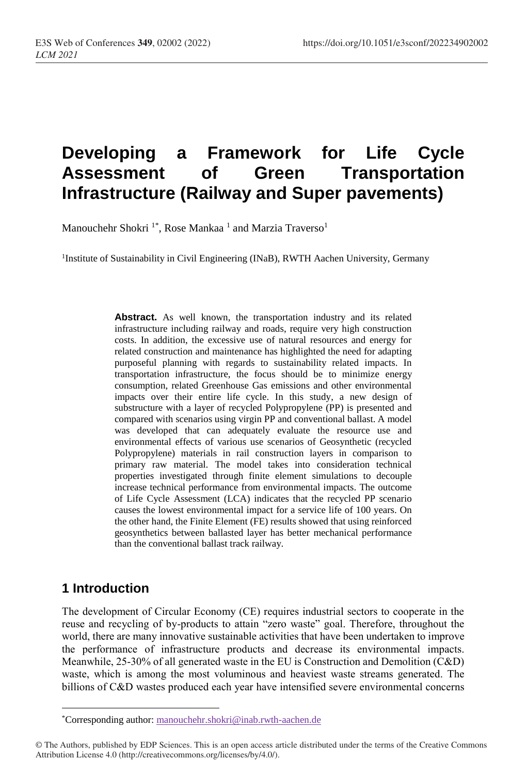# **Developing a Framework for Life Cycle Assessment of Green Transportation Infrastructure (Railway and Super pavements)**

Manouchehr Shokri <sup>1\*</sup>, Rose Mankaa <sup>1</sup> and Marzia Traverso<sup>1</sup>

<sup>1</sup>Institute of Sustainability in Civil Engineering (INaB), RWTH Aachen University, Germany

Abstract. As well known, the transportation industry and its related infrastructure including railway and roads, require very high construction costs. In addition, the excessive use of natural resources and energy for related construction and maintenance has highlighted the need for adapting purposeful planning with regards to sustainability related impacts. In transportation infrastructure, the focus should be to minimize energy consumption, related Greenhouse Gas emissions and other environmental impacts over their entire life cycle. In this study, a new design of substructure with a layer of recycled Polypropylene (PP) is presented and compared with scenarios using virgin PP and conventional ballast. A model was developed that can adequately evaluate the resource use and environmental effects of various use scenarios of Geosynthetic (recycled Polypropylene) materials in rail construction layers in comparison to primary raw material. The model takes into consideration technical properties investigated through finite element simulations to decouple increase technical performance from environmental impacts. The outcome of Life Cycle Assessment (LCA) indicates that the recycled PP scenario causes the lowest environmental impact for a service life of 100 years. On the other hand, the Finite Element (FE) results showed that using reinforced geosynthetics between ballasted layer has better mechanical performance than the conventional ballast track railway.

### **1 Introduction**

 $\overline{a}$ 

The development of Circular Economy (CE) requires industrial sectors to cooperate in the reuse and recycling of by-products to attain "zero waste" goal. Therefore, throughout the world, there are many innovative sustainable activities that have been undertaken to improve the performance of infrastructure products and decrease its environmental impacts. Meanwhile, 25-30% of all generated waste in the EU is Construction and Demolition (C&D) waste, which is among the most voluminous and heaviest waste streams generated. The billions of C&D wastes produced each year have intensified severe environmental concerns

<sup>\*</sup>Corresponding author: manouchehr.shokri@inab.rwth-aachen.de

<sup>©</sup> The Authors, published by EDP Sciences. This is an open access article distributed under the terms of the Creative Commons Attribution License 4.0 (http://creativecommons.org/licenses/by/4.0/).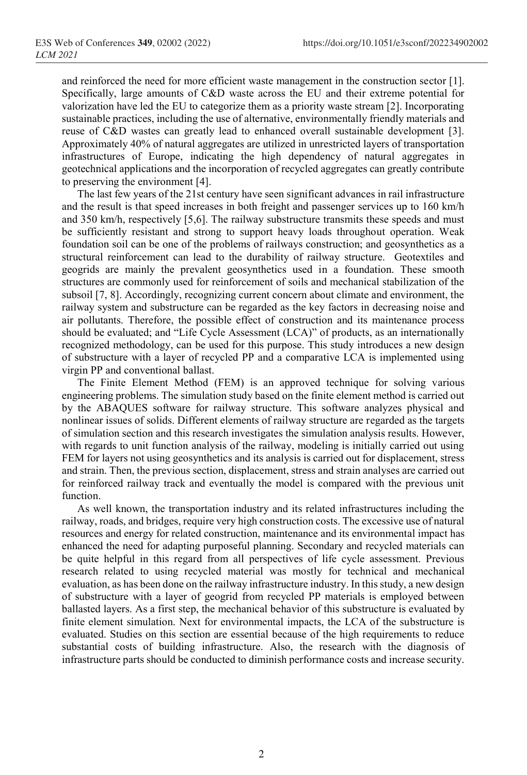and reinforced the need for more efficient waste management in the construction sector [1]. Specifically, large amounts of C&D waste across the EU and their extreme potential for valorization have led the EU to categorize them as a priority waste stream [2]. Incorporating sustainable practices, including the use of alternative, environmentally friendly materials and reuse of C&D wastes can greatly lead to enhanced overall sustainable development [3]. Approximately 40% of natural aggregates are utilized in unrestricted layers of transportation infrastructures of Europe, indicating the high dependency of natural aggregates in geotechnical applications and the incorporation of recycled aggregates can greatly contribute to preserving the environment [4].

The last few years of the 21st century have seen significant advances in rail infrastructure and the result is that speed increases in both freight and passenger services up to 160 km/h and 350 km/h, respectively [5,6]. The railway substructure transmits these speeds and must be sufficiently resistant and strong to support heavy loads throughout operation. Weak foundation soil can be one of the problems of railways construction; and geosynthetics as a structural reinforcement can lead to the durability of railway structure. Geotextiles and geogrids are mainly the prevalent geosynthetics used in a foundation. These smooth structures are commonly used for reinforcement of soils and mechanical stabilization of the subsoil [7, 8]. Accordingly, recognizing current concern about climate and environment, the railway system and substructure can be regarded as the key factors in decreasing noise and air pollutants. Therefore, the possible effect of construction and its maintenance process should be evaluated; and "Life Cycle Assessment (LCA)" of products, as an internationally recognized methodology, can be used for this purpose. This study introduces a new design of substructure with a layer of recycled PP and a comparative LCA is implemented using virgin PP and conventional ballast.

The Finite Element Method (FEM) is an approved technique for solving various engineering problems. The simulation study based on the finite element method is carried out by the ABAQUES software for railway structure. This software analyzes physical and nonlinear issues of solids. Different elements of railway structure are regarded as the targets of simulation section and this research investigates the simulation analysis results. However, with regards to unit function analysis of the railway, modeling is initially carried out using FEM for layers not using geosynthetics and its analysis is carried out for displacement, stress and strain. Then, the previous section, displacement, stress and strain analyses are carried out for reinforced railway track and eventually the model is compared with the previous unit function.

As well known, the transportation industry and its related infrastructures including the railway, roads, and bridges, require very high construction costs. The excessive use of natural resources and energy for related construction, maintenance and its environmental impact has enhanced the need for adapting purposeful planning. Secondary and recycled materials can be quite helpful in this regard from all perspectives of life cycle assessment. Previous research related to using recycled material was mostly for technical and mechanical evaluation, as has been done on the railway infrastructure industry. In this study, a new design of substructure with a layer of geogrid from recycled PP materials is employed between ballasted layers. As a first step, the mechanical behavior of this substructure is evaluated by finite element simulation. Next for environmental impacts, the LCA of the substructure is evaluated. Studies on this section are essential because of the high requirements to reduce substantial costs of building infrastructure. Also, the research with the diagnosis of infrastructure parts should be conducted to diminish performance costs and increase security.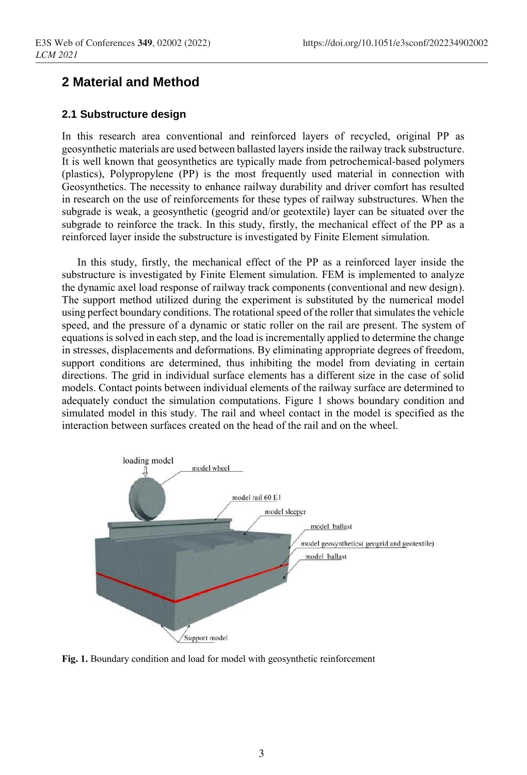# **2 Material and Method**

#### **2.1 Substructure design**

In this research area conventional and reinforced layers of recycled, original PP as geosynthetic materials are used between ballasted layers inside the railway track substructure. It is well known that geosynthetics are typically made from petrochemical-based polymers (plastics), Polypropylene (PP) is the most frequently used material in connection with Geosynthetics. The necessity to enhance railway durability and driver comfort has resulted in research on the use of reinforcements for these types of railway substructures. When the subgrade is weak, a geosynthetic (geogrid and/or geotextile) layer can be situated over the subgrade to reinforce the track. In this study, firstly, the mechanical effect of the PP as a reinforced layer inside the substructure is investigated by Finite Element simulation.

In this study, firstly, the mechanical effect of the PP as a reinforced layer inside the substructure is investigated by Finite Element simulation. FEM is implemented to analyze the dynamic axel load response of railway track components (conventional and new design). The support method utilized during the experiment is substituted by the numerical model using perfect boundary conditions. The rotational speed of the roller that simulates the vehicle speed, and the pressure of a dynamic or static roller on the rail are present. The system of equations is solved in each step, and the load is incrementally applied to determine the change in stresses, displacements and deformations. By eliminating appropriate degrees of freedom, support conditions are determined, thus inhibiting the model from deviating in certain directions. The grid in individual surface elements has a different size in the case of solid models. Contact points between individual elements of the railway surface are determined to adequately conduct the simulation computations. Figure 1 shows boundary condition and simulated model in this study. The rail and wheel contact in the model is specified as the interaction between surfaces created on the head of the rail and on the wheel.



**Fig. 1.** Boundary condition and load for model with geosynthetic reinforcement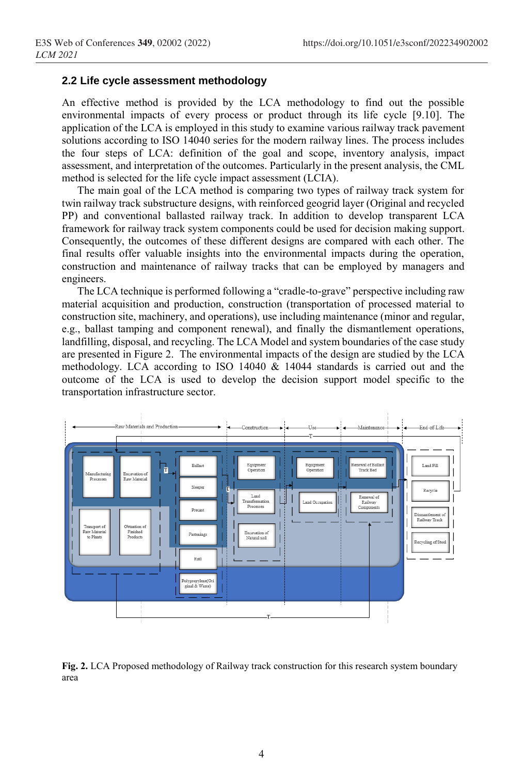#### **2.2 Life cycle assessment methodology**

An effective method is provided by the LCA methodology to find out the possible environmental impacts of every process or product through its life cycle [9.10]. The application of the LCA is employed in this study to examine various railway track pavement solutions according to ISO 14040 series for the modern railway lines. The process includes the four steps of LCA: definition of the goal and scope, inventory analysis, impact assessment, and interpretation of the outcomes. Particularly in the present analysis, the CML method is selected for the life cycle impact assessment (LCIA).

The main goal of the LCA method is comparing two types of railway track system for twin railway track substructure designs, with reinforced geogrid layer (Original and recycled PP) and conventional ballasted railway track. In addition to develop transparent LCA framework for railway track system components could be used for decision making support. Consequently, the outcomes of these different designs are compared with each other. The final results offer valuable insights into the environmental impacts during the operation, construction and maintenance of railway tracks that can be employed by managers and engineers.

The LCA technique is performed following a "cradle-to-grave" perspective including raw material acquisition and production, construction (transportation of processed material to construction site, machinery, and operations), use including maintenance (minor and regular, e.g., ballast tamping and component renewal), and finally the dismantlement operations, landfilling, disposal, and recycling. The LCA Model and system boundaries of the case study are presented in Figure 2. The environmental impacts of the design are studied by the LCA methodology. LCA according to ISO 14040 & 14044 standards is carried out and the outcome of the LCA is used to develop the decision support model specific to the transportation infrastructure sector.



**Fig. 2.** LCA Proposed methodology of Railway track construction for this research system boundary area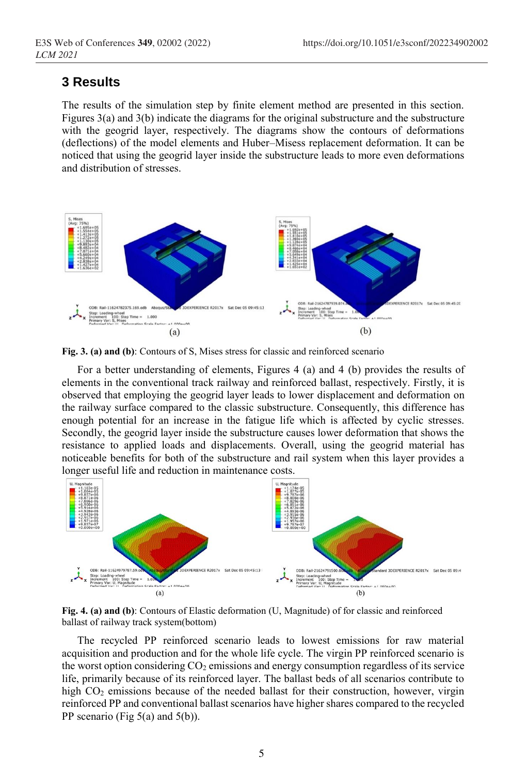### **3 Results**

The results of the simulation step by finite element method are presented in this section. Figures 3(a) and 3(b) indicate the diagrams for the original substructure and the substructure with the geogrid layer, respectively. The diagrams show the contours of deformations (deflections) of the model elements and Huber–Misess replacement deformation. It can be noticed that using the geogrid layer inside the substructure leads to more even deformations and distribution of stresses.



**Fig. 3. (a) and (b)**: Contours of S, Mises stress for classic and reinforced scenario

For a better understanding of elements, Figures 4 (a) and 4 (b) provides the results of elements in the conventional track railway and reinforced ballast, respectively. Firstly, it is observed that employing the geogrid layer leads to lower displacement and deformation on the railway surface compared to the classic substructure. Consequently, this difference has enough potential for an increase in the fatigue life which is affected by cyclic stresses. Secondly, the geogrid layer inside the substructure causes lower deformation that shows the resistance to applied loads and displacements. Overall, using the geogrid material has noticeable benefits for both of the substructure and rail system when this layer provides a longer useful life and reduction in maintenance costs.



**Fig. 4. (a) and (b)**: Contours of Elastic deformation (U, Magnitude) of for classic and reinforced ballast of railway track system(bottom)

The recycled PP reinforced scenario leads to lowest emissions for raw material acquisition and production and for the whole life cycle. The virgin PP reinforced scenario is the worst option considering  $CO<sub>2</sub>$  emissions and energy consumption regardless of its service life, primarily because of its reinforced layer. The ballast beds of all scenarios contribute to high CO<sub>2</sub> emissions because of the needed ballast for their construction, however, virgin reinforced PP and conventional ballast scenarios have higher shares compared to the recycled PP scenario (Fig  $5(a)$  and  $5(b)$ ).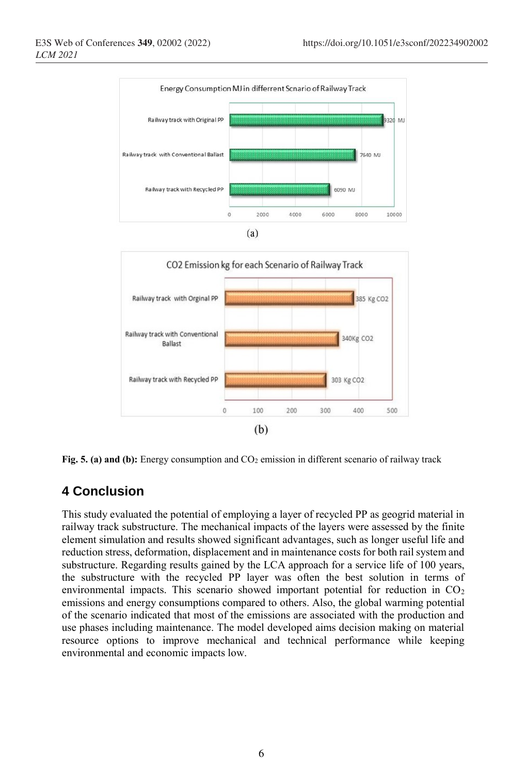



**Fig. 5. (a) and (b):** Energy consumption and CO<sub>2</sub> emission in different scenario of railway track

## **4 Conclusion**

This study evaluated the potential of employing a layer of recycled PP as geogrid material in railway track substructure. The mechanical impacts of the layers were assessed by the finite element simulation and results showed significant advantages, such as longer useful life and reduction stress, deformation, displacement and in maintenance costs for both rail system and substructure. Regarding results gained by the LCA approach for a service life of 100 years, the substructure with the recycled PP layer was often the best solution in terms of environmental impacts. This scenario showed important potential for reduction in  $CO<sub>2</sub>$ emissions and energy consumptions compared to others. Also, the global warming potential of the scenario indicated that most of the emissions are associated with the production and use phases including maintenance. The model developed aims decision making on material resource options to improve mechanical and technical performance while keeping environmental and economic impacts low.